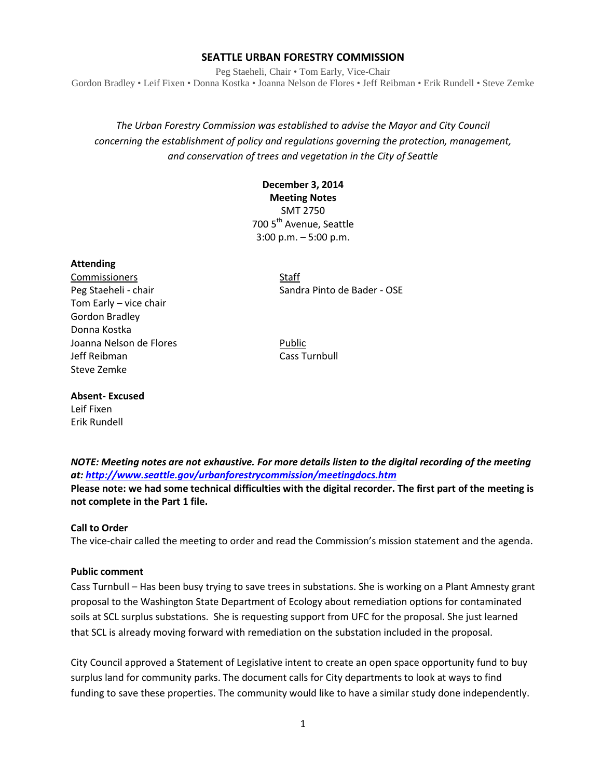## **SEATTLE URBAN FORESTRY COMMISSION**

Peg Staeheli, Chair • Tom Early, Vice-Chair Gordon Bradley • Leif Fixen • Donna Kostka • Joanna Nelson de Flores • Jeff Reibman • Erik Rundell • Steve Zemke

*The Urban Forestry Commission was established to advise the Mayor and City Council concerning the establishment of policy and regulations governing the protection, management, and conservation of trees and vegetation in the City of Seattle*

# **December 3, 2014 Meeting Notes** SMT 2750 700 5<sup>th</sup> Avenue, Seattle 3:00 p.m. – 5:00 p.m.

#### **Attending**

Commissioners Staff Tom Early – vice chair Gordon Bradley Donna Kostka Joanna Nelson de Flores **Public** Jeff Reibman Cass Turnbull Steve Zemke

Peg Staeheli - chair Sandra Pinto de Bader - OSE

# **Absent- Excused**

Leif Fixen Erik Rundell

*NOTE: Meeting notes are not exhaustive. For more details listen to the digital recording of the meeting at:<http://www.seattle.gov/urbanforestrycommission/meetingdocs.htm>* **Please note: we had some technical difficulties with the digital recorder. The first part of the meeting is not complete in the Part 1 file.**

### **Call to Order**

The vice-chair called the meeting to order and read the Commission's mission statement and the agenda.

### **Public comment**

Cass Turnbull – Has been busy trying to save trees in substations. She is working on a Plant Amnesty grant proposal to the Washington State Department of Ecology about remediation options for contaminated soils at SCL surplus substations. She is requesting support from UFC for the proposal. She just learned that SCL is already moving forward with remediation on the substation included in the proposal.

City Council approved a Statement of Legislative intent to create an open space opportunity fund to buy surplus land for community parks. The document calls for City departments to look at ways to find funding to save these properties. The community would like to have a similar study done independently.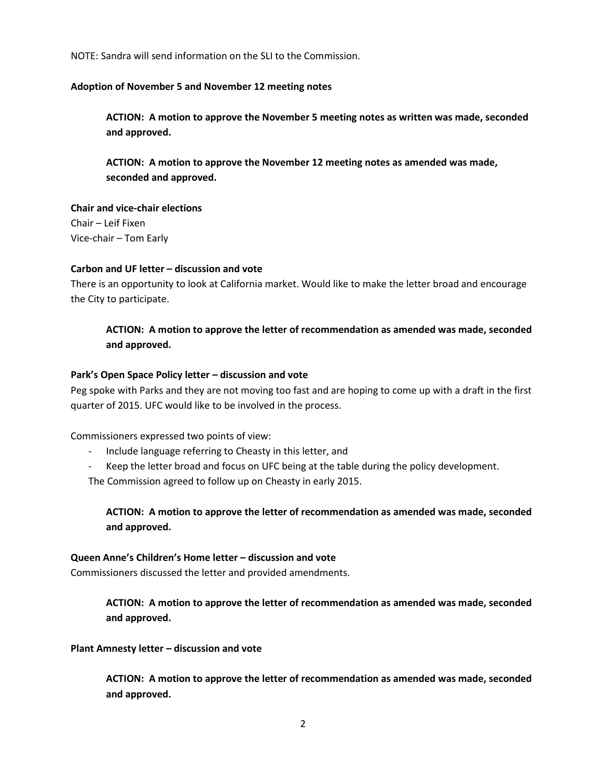NOTE: Sandra will send information on the SLI to the Commission.

## **Adoption of November 5 and November 12 meeting notes**

**ACTION: A motion to approve the November 5 meeting notes as written was made, seconded and approved.** 

**ACTION: A motion to approve the November 12 meeting notes as amended was made, seconded and approved.** 

**Chair and vice-chair elections** Chair – Leif Fixen Vice-chair – Tom Early

## **Carbon and UF letter – discussion and vote**

There is an opportunity to look at California market. Would like to make the letter broad and encourage the City to participate.

# **ACTION: A motion to approve the letter of recommendation as amended was made, seconded and approved.**

## **Park's Open Space Policy letter – discussion and vote**

Peg spoke with Parks and they are not moving too fast and are hoping to come up with a draft in the first quarter of 2015. UFC would like to be involved in the process.

Commissioners expressed two points of view:

- Include language referring to Cheasty in this letter, and
- Keep the letter broad and focus on UFC being at the table during the policy development.

The Commission agreed to follow up on Cheasty in early 2015.

**ACTION: A motion to approve the letter of recommendation as amended was made, seconded and approved.** 

### **Queen Anne's Children's Home letter – discussion and vote**

Commissioners discussed the letter and provided amendments.

**ACTION: A motion to approve the letter of recommendation as amended was made, seconded and approved.** 

### **Plant Amnesty letter – discussion and vote**

**ACTION: A motion to approve the letter of recommendation as amended was made, seconded and approved.**